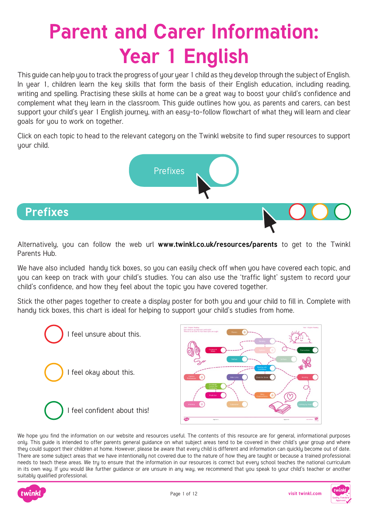# **Parent and Carer Information: Year 1 English**

This guide can help you to track the progress of your year 1 child as they develop through the subject of English. In year 1, children learn the key skills that form the basis of their English education, including reading, writing and spelling. Practising these skills at home can be a great way to boost your child's confidence and complement what they learn in the classroom. This guide outlines how you, as parents and carers, can best support your child's year 1 English journey, with an easy-to-follow flowchart of what they will learn and clear goals for you to work on together.

Click on each topic to head to the relevant category on the Twinkl website to find super resources to support your child.



Alternatively, you can follow the web url **[www.twinkl.co.uk/resources/parents](https://www.twinkl.co.uk/resources/parents)** to get to the Twinkl Parents Hub.

We have also included handy tick boxes, so you can easily check off when you have covered each topic, and you can keep on track with your child's studies. You can also use the 'traffic light' system to record your child's confidence, and how they feel about the topic you have covered together.

Stick the other pages together to create a display poster for both you and your child to fill in. Complete with handy tick boxes, this chart is ideal for helping to support your child's studies from home.





We hope you find the information on our website and resources useful. The contents of this resource are for general, informational purposes only. This guide is intended to offer parents general guidance on what subject areas tend to be covered in their child's year group and where they could support their children at home. However, please be aware that every child is different and information can quickly become out of date. There are some subject areas that we have intentionally not covered due to the nature of how they are taught or because a trained professional needs to teach these areas. We try to ensure that the information in our resources is correct but every school teaches the national curriculum in its own way. If you would like further guidance or are unsure in any way, we recommend that you speak to your child's teacher or another suitably qualified professional.



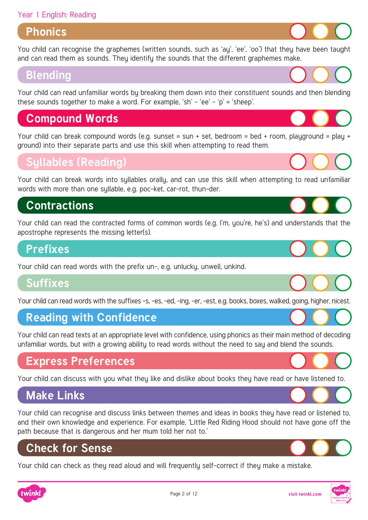#### Year 1 English: Reading

#### **Phonics**

[You child can recognise the graphemes \(written sounds, such as 'ay', 'ee', 'oo'\) that they have been taught](https://www.twinkl.co.uk/resources/english-main-subjects-parents/phonics-english-main-subjects-parents/phase-3-phonics-early-years-parent-support-parents)  and can read them as sounds. They identify the sounds that the different graphemes make.

#### **Blending**

[Your child can read unfamiliar words by breaking them down into their constituent sounds and then blending](https://www.twinkl.co.uk/resources/english-main-subjects-parents/phonics-english-main-subjects-parents/phase-3-phonics-early-years-parent-support-parents)  these sounds together to make a word. For example, 'sh' - 'ee' - 'p' = 'sheep'.

# **Compound Words**

Your child can break compound words (e.g. sunset = sun + set, bedroom = bed + room, playground = play + ground) into their separate parts and use this skill when attempting to read them.

#### **Syllables (Reading)**

Your child can break words into syllables orally, and can use this skill when attempting to read unfamiliar words with more than one sullable, e.g. poc-ket, car-rot, thun-der.

# **Contractions**

[Your child can read the contracted forms of common words \(e.g. I'm, you're, he's\) and understands that the](https://www.twinkl.co.uk/resources/english-main-subjects-parents/contractions-english-main-subjects-parents/contractions-year-1-ages-5-6-english-main-subjects-parents)  apostrophe represents the missing letter(s).

#### **Prefixes**

[Your child can read words with the prefix un-, e.g. unlucky, unwell, unkind.](https://www.twinkl.co.uk/resources/english-main-subjects-parents/prefixes-and-suffixes-english-main-subjects-parents/prefixes-and-suffixes-year-1-ages-5-6-english-main-subjects-parents)

#### **Suffixes**

[Your child can read words with the suffixes -s, -es, -ed, -ing, -er, -est, e.g. books, boxes, walked, going, higher, nicest.](https://www.twinkl.co.uk/resources/english-main-subjects-parents/prefixes-and-suffixes-english-main-subjects-parents/prefixes-and-suffixes-year-1-ages-5-6-english-main-subjects-parents)

#### **Reading with Confidence**

[Your child can read texts at an appropriate level with confidence, using phonics as their main method of decoding](https://www.twinkl.co.uk/resources/english-main-subjects-parents/phonics-english-main-subjects-parents/phase-3-phonics-early-years-parent-support-parents)  unfamiliar words, but with a growing ability to read words without the need to say and blend the sounds.

#### **Express Preferences**

[Your child can discuss with you what they like and dislike about books they have read or have listened to.](https://www.twinkl.co.uk/resources/english-main-subjects-parents/reading-comprehension-english-main-subjects-parents/reading-comprehension-year-1-ages-5-6-english-main-subjects-parents)

#### **Make Links**

[Your child can recognise and discuss links between themes and ideas in books they have read or listened to,](https://www.twinkl.co.uk/resources/english-main-subjects-parents/reading-comprehension-english-main-subjects-parents/reading-comprehension-year-1-ages-5-6-english-main-subjects-parents)  and their own knowledge and experience. For example, 'Little Red Riding Hood should not have gone off the path because that is dangerous and her mum told her not to.'

#### **Check for Sense**

[Your child can check as they read aloud and will frequently self-correct if they make a mistake.](https://www.twinkl.co.uk/resources/english-main-subjects-parents/reading-comprehension-english-main-subjects-parents/reading-comprehension-year-1-ages-5-6-english-main-subjects-parents)

















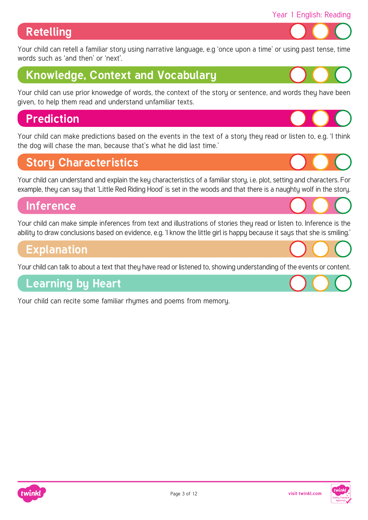## **Retelling**

[Your child can retell a familiar story using narrative language, e.g 'once upon a time' or using past tense, time](https://www.twinkl.co.uk/resources/english-main-subjects-parents/fiction-and-stories-english-main-subjects-parents/fiction-and-stories-year-1-ages-5-6-english-main-subjects-parents)  words such as 'and then' or 'next'.

# **Knowledge, Context and Vocabulary**

[Your child can use prior knowedge of words, the context of the story or sentence, and words they have been](https://www.twinkl.co.uk/resources/english-main-subjects-parents/vocabulary-english-main-subjects-parents/vocabulary-year-1-ages-5-6-english-main-subjects-parents)  given, to help them read and understand unfamiliar texts.

# **Prediction**

[Your child can make predictions based on the events in the text of a story they read or listen to, e.g. 'I think](https://www.twinkl.co.uk/resources/english-main-subjects-parents/reading-comprehension-english-main-subjects-parents/reading-comprehension-year-1-ages-5-6-english-main-subjects-parents)  the dog will chase the man, because that's what he did last time.'

#### **Story Characteristics**

[Your child can understand and explain the key characteristics of a familiar story, i.e. plot, setting and characters. For](https://www.twinkl.co.uk/resources/english-main-subjects-parents/fiction-and-stories-english-main-subjects-parents/fiction-and-stories-year-1-ages-5-6-english-main-subjects-parents)  example, they can say that 'Little Red Riding Hood' is set in the woods and that there is a naughty wolf in the story.

#### **Inference**

[Your child can make simple inferences from text and illustrations of stories they read or listen to. Inference is the](https://www.twinkl.co.uk/resources/english-main-subjects-parents/reading-comprehension-english-main-subjects-parents/reading-comprehension-year-1-ages-5-6-english-main-subjects-parents)  ability to draw conclusions based on evidence, e.g. 'I know the little girl is happy because it says that she is smiling.'

#### **Explanation**

[Your child can talk to about a text that they have read or listened to, showing understanding of the events or content.](https://www.twinkl.co.uk/resources/english-main-subjects-parents/reading-comprehension-english-main-subjects-parents/reading-comprehension-year-1-ages-5-6-english-main-subjects-parents)

#### **Learning by Heart**

[Your child can recite some familiar rhymes and poems from memory.](https://www.twinkl.co.uk/resources/english-main-subjects-parents/reading-comprehension-english-main-subjects-parents/reading-comprehension-year-1-ages-5-6-english-main-subjects-parents)







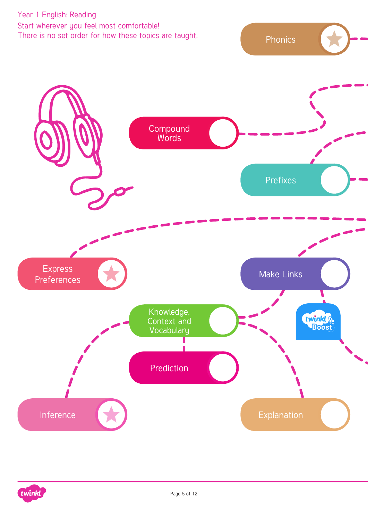Year 1 English: Reading Start wherever you feel most comfortable! There is no set order for how these topics are taught.

[Compound](https://www.twinkl.co.uk/resources/english-main-subjects-parents/contractions-english-main-subjects-parents/contractions-year-1-ages-5-6-english-main-subjects-parents) Words [Prefixes](https://www.twinkl.co.uk/resources/english-main-subjects-parents/prefixes-and-suffixes-english-main-subjects-parents/prefixes-and-suffixes-year-1-ages-5-6-english-main-subjects-parents) Express [Make Links](https://www.twinkl.co.uk/resources/english-main-subjects-parents/reading-comprehension-english-main-subjects-parents/reading-comprehension-year-1-ages-5-6-english-main-subjects-parents) [Preferences](https://www.twinkl.co.uk/resources/english-main-subjects-parents/reading-comprehension-english-main-subjects-parents/reading-comprehension-year-1-ages-5-6-english-main-subjects-parents) Knowledge, twinkl [Context and](https://www.twinkl.co.uk/resources/english-main-subjects-parents/vocabulary-english-main-subjects-parents/vocabulary-year-1-ages-5-6-english-main-subjects-parents) Vocabulary [Prediction](https://www.twinkl.co.uk/resources/english-main-subjects-parents/reading-comprehension-english-main-subjects-parents/reading-comprehension-year-1-ages-5-6-english-main-subjects-parents) [Inference](https://www.twinkl.co.uk/resources/english-main-subjects-parents/reading-comprehension-english-main-subjects-parents/reading-comprehension-year-1-ages-5-6-english-main-subjects-parents) [Explanation](https://www.twinkl.co.uk/resources/english-main-subjects-parents/reading-comprehension-english-main-subjects-parents/reading-comprehension-year-1-ages-5-6-english-main-subjects-parents)

[Phonics](https://www.twinkl.co.uk/resources/english-main-subjects-parents/phonics-english-main-subjects-parents/phase-3-phonics-early-years-parent-support-parents)

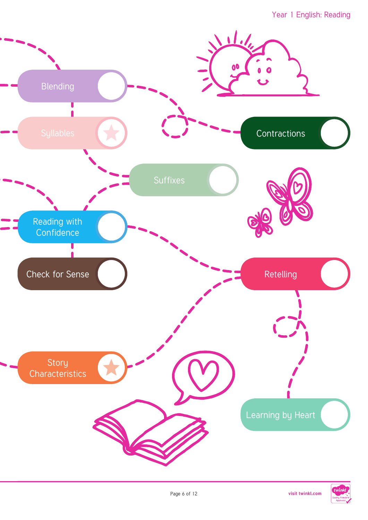

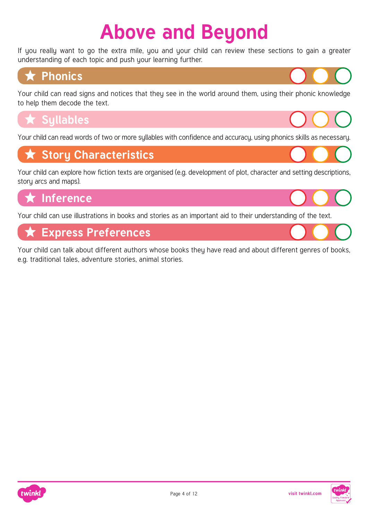# **Above and Beyond**

If you really want to go the extra mile, you and your child can review these sections to gain a greater understanding of each topic and push your learning further.



[Your child can read signs and notices that they see in the world around them, using their phonic knowledge](https://www.twinkl.co.uk/resources/english-main-subjects-parents/phonics-english-main-subjects-parents/phase-3-phonics-early-years-parent-support-parents)  to help them decode the text.

# **\*** Sullables

[Your child can read words of two or more syllables with confidence and accuracy, using phonics skills as necessary.](https://www.twinkl.co.uk/resources/english-main-subjects-parents/phonics-english-main-subjects-parents/phase-3-phonics-early-years-parent-support-parents)

# **★ Story Characteristics**

[Your child can explore how fiction texts are organised \(e.g. development of plot, character and setting descriptions,](https://www.twinkl.co.uk/resources/english-main-subjects-parents/fiction-and-stories-english-main-subjects-parents/fiction-and-stories-year-1-ages-5-6-english-main-subjects-parents)  story arcs and maps).

# **Inference**

[Your child can use illustrations in books and stories as an important aid to their understanding of the text.](https://www.twinkl.co.uk/resources/english-main-subjects-parents/reading-comprehension-english-main-subjects-parents/reading-comprehension-year-1-ages-5-6-english-main-subjects-parents)

# **Express Preferences**

[Your child can talk about different authors whose books they have read and about different genres of books,](https://www.twinkl.co.uk/resources/english-main-subjects-parents/reading-comprehension-english-main-subjects-parents/reading-comprehension-year-1-ages-5-6-english-main-subjects-parents)  e.g. traditional tales, adventure stories, animal stories.



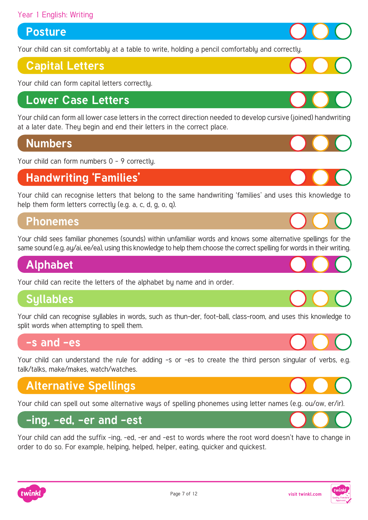#### Year 1 English: Writing

#### **Posture**

[Your child can sit comfortably at a table to write, holding a pencil comfortably and correctly.](https://www.twinkl.co.uk/resources/english-main-subjects-parents/handwriting-and-letter-formation-english-main-subjects-parents/handwriting-and-letter-formation-year-1-ages-5-6-english-main-subjects-parents)

#### **[Capital Letters](https://www.twinkl.co.uk/resources/english-main-subjects-parents/handwriting-and-letter-formation-english-main-subjects-parents/handwriting-and-letter-formation-year-1-ages-5-6-english-main-subjects-parents)**

Your child can form capital letters correctly.

#### **Lower Case Letters**

[Your child can form all lower case letters in the correct direction needed to develop cursive \(joined\) handwriting](https://www.twinkl.co.uk/resources/english-main-subjects-parents/handwriting-and-letter-formation-english-main-subjects-parents/handwriting-and-letter-formation-year-1-ages-5-6-english-main-subjects-parents)  at a later date. They begin and end their letters in the correct place.

#### **Numbers**

[Your child can form numbers 0 - 9 correctly.](https://www.twinkl.co.uk/resources/english-main-subjects-parents/handwriting-and-letter-formation-english-main-subjects-parents/handwriting-and-letter-formation-year-1-ages-5-6-english-main-subjects-parents)

#### **Handwriting 'Families'**

Your child can recognise letters that belong to the same handwriting 'families' and uses this knowledge to help them form letters correctly (e.g. a. c. d. g. o. g).

#### **Phonemes**

[Your child sees familiar phonemes \(sounds\) within unfamiliar words and knows some alternative spellings for the](https://www.twinkl.co.uk/resources/english-main-subjects-parents/spelling-english-main-subjects-parents/spelling-year-1-ages-5-6-spelling-main-subjects-parents)  same sound (e.g. ay/ai, ee/ea), using this knowledge to help them choose the correct spelling for words in their writing.

#### **Alphabet**

[Your child can recite the letters of the alphabet by name and in order.](https://www.twinkl.co.uk/resources/early-years-age-2-5-parents/english-early-years-age-2-5-parents/parents-reading-writing-alphabet)

#### **Syllables**

[Your child can recognise syllables in words, such as thun-der, foot-ball, class-room, and uses this knowledge to](https://www.twinkl.co.uk/resources/english-main-subjects-parents/spelling-english-main-subjects-parents/spelling-year-1-ages-5-6-spelling-main-subjects-parents)  split words when attempting to spell them.

#### **-s and -es**

[Your child can understand the rule for adding -s or -es to create the third person singular of verbs, e.g.](https://www.twinkl.co.uk/resources/english-main-subjects-parents/spelling-english-main-subjects-parents/spelling-year-1-ages-5-6-spelling-main-subjects-parents) talk/talks, make/makes, watch/watches.

# **Alternative Spellings**

[Your child can spell out some alternative ways of spelling phonemes using letter names \(e.g. ou/ow, er/ir\).](https://www.twinkl.co.uk/resources/english-main-subjects-parents/spelling-english-main-subjects-parents/spelling-year-1-ages-5-6-spelling-main-subjects-parents)

#### **-ing, -ed, -er and -est**

[Your child can add the suffix -ing, -ed, -er and -est to words where the root word doesn't have to change in](https://www.twinkl.co.uk/resources/english-main-subjects-parents/spelling-english-main-subjects-parents/spelling-year-1-ages-5-6-spelling-main-subjects-parents)  order to do so. For example, helping, helped, helper, eating, quicker and quickest.

















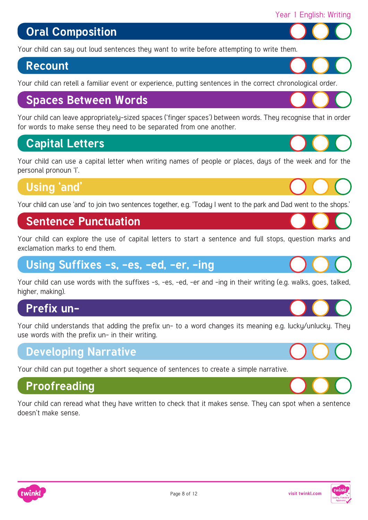# **Oral Composition**

[Your child can say out loud sentences they want to write before attempting to write them.](https://www.twinkl.co.uk/resources/english-main-subjects-parents/sentences-english-main-subjects-parents/sentences-year-1-ages-5-6-english-main-subjects-parents)

#### **Recount**

[Your child can retell a familiar event or experience, putting sentences in the correct chronological order.](https://www.twinkl.co.uk/resources/english-main-subjects-parents/sentences-english-main-subjects-parents/sentences-year-1-ages-5-6-english-main-subjects-parents)

#### **Spaces Between Words**

[Your child can leave appropriately-sized spaces \('finger spaces'\) between words. They recognise that in order](https://www.twinkl.co.uk/resources/english-main-subjects-parents/sentences-english-main-subjects-parents/sentences-year-1-ages-5-6-english-main-subjects-parents)  for words to make sense they need to be separated from one another.

#### **Capital Letters**

Your child can use a capital letter when writing names of people or places, daus of the week and for the personal pronoun 'I'.

## **Using 'and'**

[Your child can use 'and' to join two sentences together, e.g. 'Today I went to the park and Dad went to the shops.'](https://www.twinkl.co.uk/resources/english-main-subjects-parents/sentences-english-main-subjects-parents/sentences-year-1-ages-5-6-english-main-subjects-parents)

#### **Sentence Punctuation**

[Your child can explore the use of capital letters to start a sentence and full stops, question marks and](https://www.twinkl.co.uk/resources/english-main-subjects-parents/sentences-english-main-subjects-parents/sentences-year-1-ages-5-6-english-main-subjects-parents)  exclamation marks to end them.

## **Using Suffixes -s, -es, -ed, -er, -ing**

[Your child can use words with the suffixes -s, -es, -ed, -er and -ing in their writing \(e.g. walks, goes, talked,](https://www.twinkl.co.uk/resources/english-main-subjects-parents/prefixes-and-suffixes-english-main-subjects-parents/prefixes-and-suffixes-year-1-ages-5-6-english-main-subjects-parents)  higher, making).

#### **Prefix un-**

Your child understands that adding the prefix un- to a word changes its meaning e.g. lucky/unlucky. They use words with the prefix un- in their writing.

#### **Developing Narrative**

[Your child can put together a short sequence of sentences to create a simple narrative.](https://www.twinkl.co.uk/resources/english-main-subjects-parents/sentences-english-main-subjects-parents/sentences-year-1-ages-5-6-english-main-subjects-parents)

## **Proofreading**

[Your child can reread what they have written to check that it makes sense. They can spot when a sentence](https://www.twinkl.co.uk/resources/english-main-subjects-parents/sentences-english-main-subjects-parents/sentences-year-1-ages-5-6-english-main-subjects-parents)  doesn't make sense.





Year 1 English: Writing





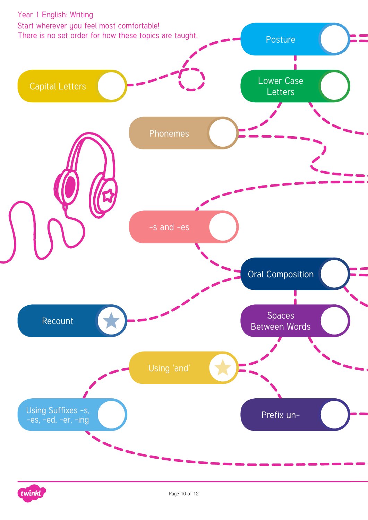

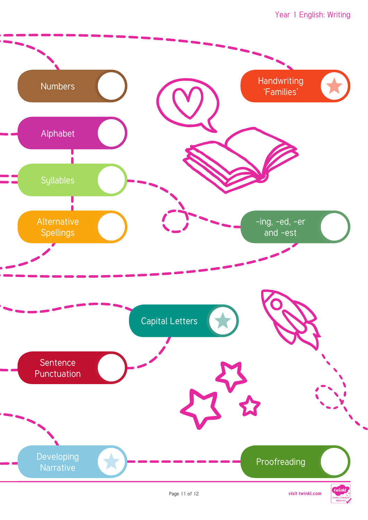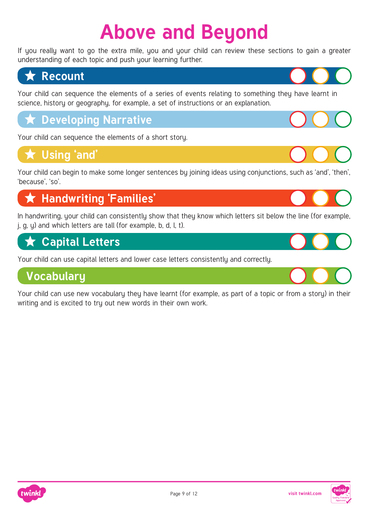# **Above and Beyond**

If you really want to go the extra mile, you and your child can review these sections to gain a greater understanding of each topic and push your learning further.



[Your child can sequence the elements of a series of events relating to something they have learnt in](https://www.twinkl.co.uk/resources/english-main-subjects-parents/sentences-english-main-subjects-parents/sentences-year-1-ages-5-6-english-main-subjects-parents)  science, history or geography, for example, a set of instructions or an explanation.

# **[Developing Narrative](https://www.twinkl.co.uk/resources/english-main-subjects-parents/sentences-english-main-subjects-parents/sentences-year-1-ages-5-6-english-main-subjects-parents)**

Your child can sequence the elements of a short story.

# **Using 'and'**

[Your child can begin to make some longer sentences by joining ideas using conjunctions, such as 'and', 'then',](https://www.twinkl.co.uk/resources/english-main-subjects-parents/sentences-english-main-subjects-parents/sentences-year-1-ages-5-6-english-main-subjects-parents)  'because', 'so'.

# **Handwriting 'Families' Handwriting 'Families'**

[In handwriting, your child can consistently show that they know which letters sit below the line \(for example,](https://www.twinkl.co.uk/resources/english-main-subjects-parents/handwriting-and-letter-formation-english-main-subjects-parents/handwriting-and-letter-formation-year-1-ages-5-6-english-main-subjects-parents)  j, g, y) and which letters are tall (for example, b, d, l, t).

# **Capital Letters**

[Your child can use capital letters and lower case letters consistently and correctly.](https://www.twinkl.co.uk/resources/english-main-subjects-parents/punctuation-english-main-subjects-parents/punctuation-year-1-ages-5-6-english-main-subjects-parents)

## **Vocabulary**

[Your child can use new vocabulary they have learnt \(for example, as part of a topic or from a story\) in their](https://www.twinkl.co.uk/resources/english-main-subjects-parents/vocabulary-english-main-subjects-parents/vocabulary-year-1-ages-5-6-english-main-subjects-parents)  writing and is excited to try out new words in their own work.